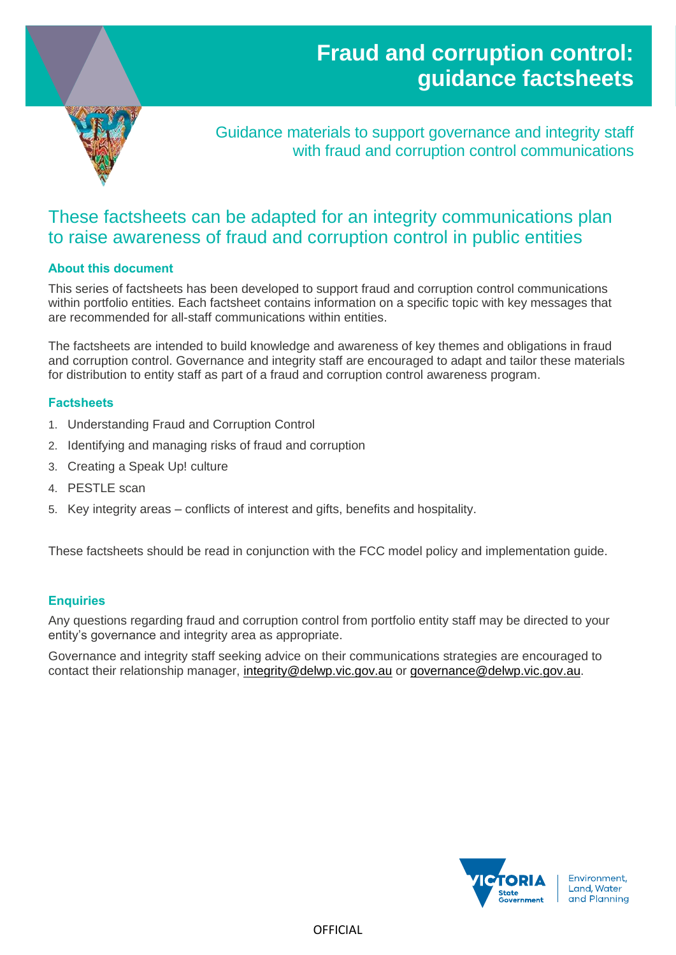# **Fraud and corruption control: guidance factsheets**



Guidance materials to support governance and integrity staff with fraud and corruption control communications

# These factsheets can be adapted for an integrity communications plan to raise awareness of fraud and corruption control in public entities

### **About this document**

This series of factsheets has been developed to support fraud and corruption control communications within portfolio entities. Each factsheet contains information on a specific topic with key messages that are recommended for all-staff communications within entities.

The factsheets are intended to build knowledge and awareness of key themes and obligations in fraud and corruption control. Governance and integrity staff are encouraged to adapt and tailor these materials for distribution to entity staff as part of a fraud and corruption control awareness program.

#### **Factsheets**

- 1. Understanding Fraud and Corruption Control
- 2. Identifying and managing risks of fraud and corruption
- 3. Creating a Speak Up! culture
- 4. PESTLE scan
- 5. Key integrity areas conflicts of interest and gifts, benefits and hospitality.

These factsheets should be read in conjunction with the FCC model policy and implementation guide.

#### **Enquiries**

Any questions regarding fraud and corruption control from portfolio entity staff may be directed to your entity's governance and integrity area as appropriate.

Governance and integrity staff seeking advice on their communications strategies are encouraged to contact their relationship manager, [integrity@delwp.vic.gov.au](mailto:integrity@delwp.vic.gov.au) or [governance@delwp.vic.gov.au.](mailto:governance@delwp.vic.gov.au)

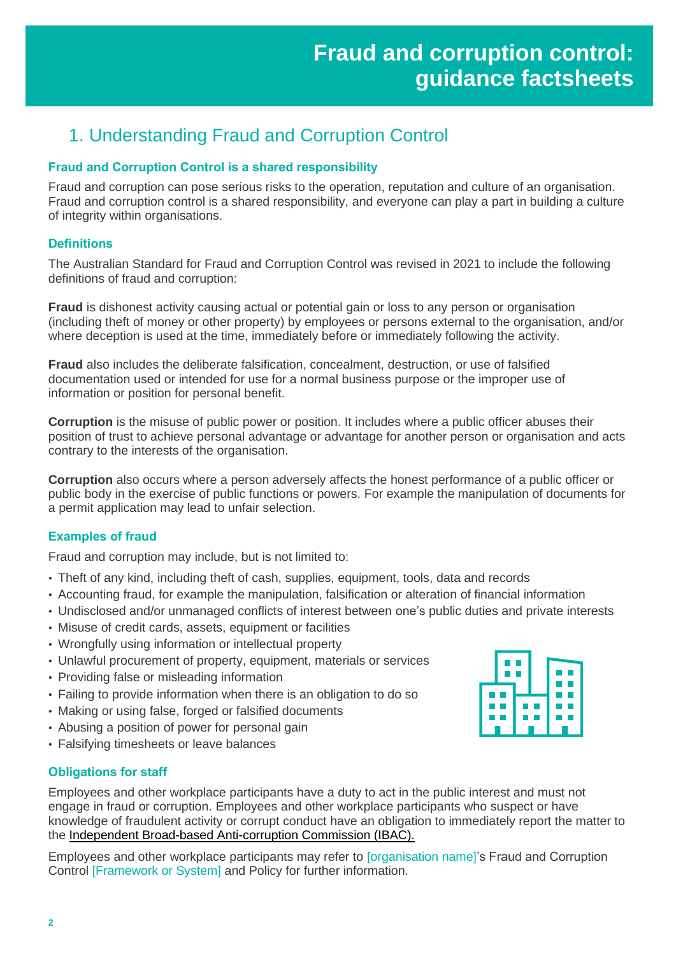# 1. Understanding Fraud and Corruption Control

## **Fraud and Corruption Control is a shared responsibility**

Fraud and corruption can pose serious risks to the operation, reputation and culture of an organisation. Fraud and corruption control is a shared responsibility, and everyone can play a part in building a culture of integrity within organisations.

### **Definitions**

The Australian Standard for Fraud and Corruption Control was revised in 2021 to include the following definitions of fraud and corruption:

**Fraud** is dishonest activity causing actual or potential gain or loss to any person or organisation (including theft of money or other property) by employees or persons external to the organisation, and/or where deception is used at the time, immediately before or immediately following the activity.

**Fraud** also includes the deliberate falsification, concealment, destruction, or use of falsified documentation used or intended for use for a normal business purpose or the improper use of information or position for personal benefit.

**Corruption** is the misuse of public power or position. It includes where a public officer abuses their position of trust to achieve personal advantage or advantage for another person or organisation and acts contrary to the interests of the organisation.

**Corruption** also occurs where a person adversely affects the honest performance of a public officer or public body in the exercise of public functions or powers. For example the manipulation of documents for a permit application may lead to unfair selection.

### **Examples of fraud**

Fraud and corruption may include, but is not limited to:

- Theft of any kind, including theft of cash, supplies, equipment, tools, data and records
- Accounting fraud, for example the manipulation, falsification or alteration of financial information
- Undisclosed and/or unmanaged conflicts of interest between one's public duties and private interests
- Misuse of credit cards, assets, equipment or facilities
- Wrongfully using information or intellectual property
- Unlawful procurement of property, equipment, materials or services
- Providing false or misleading information
- Failing to provide information when there is an obligation to do so
- Making or using false, forged or falsified documents
- Abusing a position of power for personal gain
- Falsifying timesheets or leave balances

#### **Obligations for staff**

Employees and other workplace participants have a duty to act in the public interest and must not engage in fraud or corruption. Employees and other workplace participants who suspect or have knowledge of fraudulent activity or corrupt conduct have an obligation to immediately report the matter to the [Independent Broad-based Anti-corruption Commission \(IBAC\).](https://www.ibac.vic.gov.au/reporting-corruption/public-interest-disclosures)

Employees and other workplace participants may refer to [organisation name]'s Fraud and Corruption Control [Framework or System] and Policy for further information.

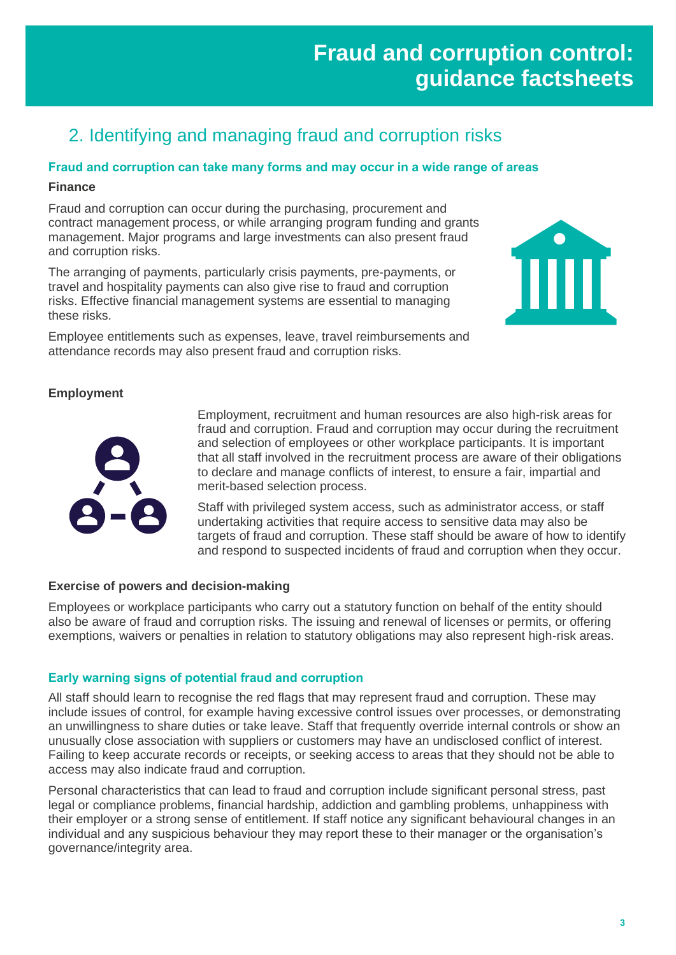# **Fraud and corruption control: guidance factsheets**

TITT

# 2. Identifying and managing fraud and corruption risks

#### **Fraud and corruption can take many forms and may occur in a wide range of areas**

#### **Finance**

Fraud and corruption can occur during the purchasing, procurement and contract management process, or while arranging program funding and grants management. Major programs and large investments can also present fraud and corruption risks.

The arranging of payments, particularly crisis payments, pre-payments, or travel and hospitality payments can also give rise to fraud and corruption risks. Effective financial management systems are essential to managing these risks.

Employee entitlements such as expenses, leave, travel reimbursements and attendance records may also present fraud and corruption risks.

### **Employment**



Employment, recruitment and human resources are also high-risk areas for fraud and corruption. Fraud and corruption may occur during the recruitment and selection of employees or other workplace participants. It is important that all staff involved in the recruitment process are aware of their obligations to declare and manage conflicts of interest, to ensure a fair, impartial and merit-based selection process.

Staff with privileged system access, such as administrator access, or staff undertaking activities that require access to sensitive data may also be targets of fraud and corruption. These staff should be aware of how to identify and respond to suspected incidents of fraud and corruption when they occur.

#### **Exercise of powers and decision-making**

Employees or workplace participants who carry out a statutory function on behalf of the entity should also be aware of fraud and corruption risks. The issuing and renewal of licenses or permits, or offering exemptions, waivers or penalties in relation to statutory obligations may also represent high-risk areas.

### **Early warning signs of potential fraud and corruption**

All staff should learn to recognise the red flags that may represent fraud and corruption. These may include issues of control, for example having excessive control issues over processes, or demonstrating an unwillingness to share duties or take leave. Staff that frequently override internal controls or show an unusually close association with suppliers or customers may have an undisclosed conflict of interest. Failing to keep accurate records or receipts, or seeking access to areas that they should not be able to access may also indicate fraud and corruption.

Personal characteristics that can lead to fraud and corruption include significant personal stress, past legal or compliance problems, financial hardship, addiction and gambling problems, unhappiness with their employer or a strong sense of entitlement. If staff notice any significant behavioural changes in an individual and any suspicious behaviour they may report these to their manager or the organisation's governance/integrity area.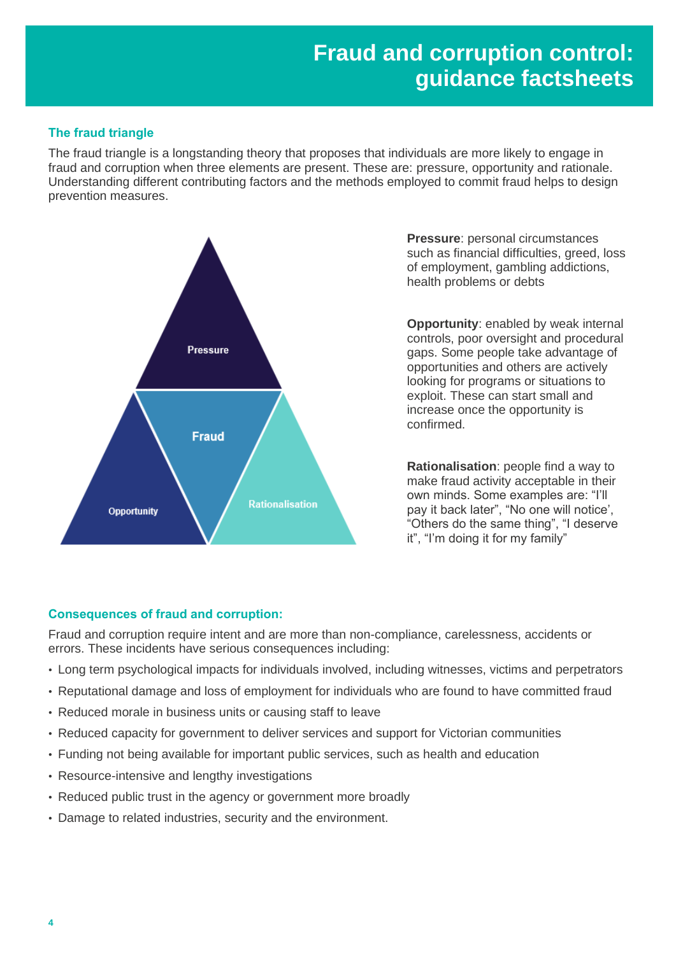# **Fraud and corruption control: guidance factsheets**

## **The fraud triangle**

The fraud triangle is a longstanding theory that proposes that individuals are more likely to engage in fraud and corruption when three elements are present. These are: pressure, opportunity and rationale. Understanding different contributing factors and the methods employed to commit fraud helps to design prevention measures.



**Pressure**: personal circumstances such as financial difficulties, greed, loss of employment, gambling addictions, health problems or debts

**Opportunity**: enabled by weak internal controls, poor oversight and procedural gaps. Some people take advantage of opportunities and others are actively looking for programs or situations to exploit. These can start small and increase once the opportunity is confirmed.

**Rationalisation**: people find a way to make fraud activity acceptable in their own minds. Some examples are: "I'll pay it back later", "No one will notice', "Others do the same thing", "I deserve it", "I'm doing it for my family"

### **Consequences of fraud and corruption:**

Fraud and corruption require intent and are more than non-compliance, carelessness, accidents or errors. These incidents have serious consequences including:

- Long term psychological impacts for individuals involved, including witnesses, victims and perpetrators
- Reputational damage and loss of employment for individuals who are found to have committed fraud
- Reduced morale in business units or causing staff to leave
- Reduced capacity for government to deliver services and support for Victorian communities
- Funding not being available for important public services, such as health and education
- Resource-intensive and lengthy investigations
- Reduced public trust in the agency or government more broadly
- Damage to related industries, security and the environment.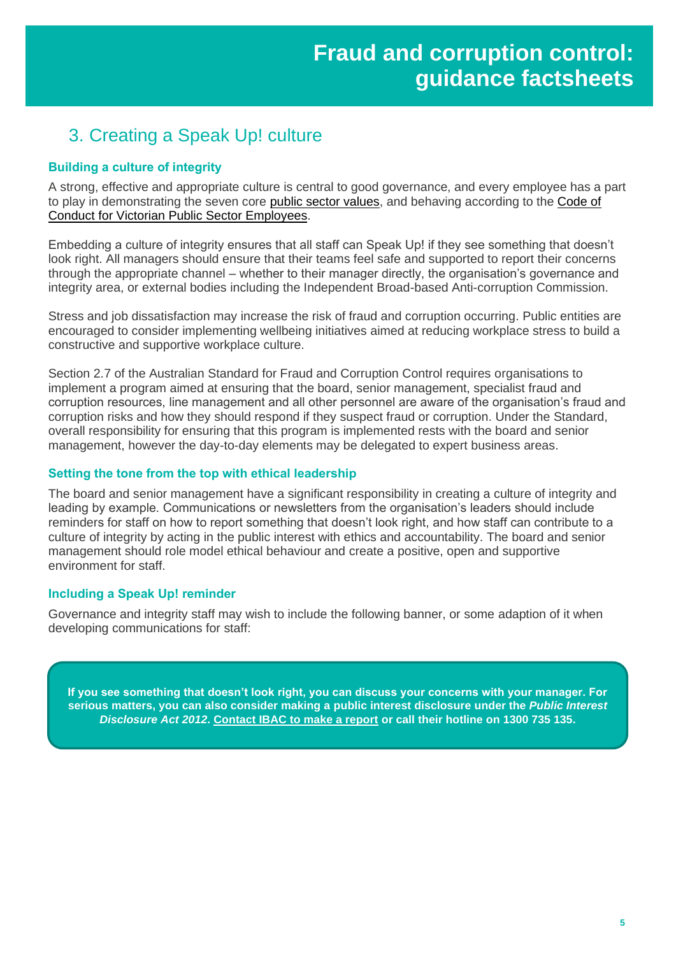# 3. Creating a Speak Up! culture

### **Building a culture of integrity**

A strong, effective and appropriate culture is central to good governance, and every employee has a part to play in demonstrating the seven core [public sector values,](https://vpsc.vic.gov.au/ethics-behaviours-culture/public-sector-values/) and behaving according to the [Code of](https://vpsc.vic.gov.au/resources/code-of-conduct-for-employees/)  [Conduct for Victorian Public Sector Employees.](https://vpsc.vic.gov.au/resources/code-of-conduct-for-employees/)

Embedding a culture of integrity ensures that all staff can Speak Up! if they see something that doesn't look right. All managers should ensure that their teams feel safe and supported to report their concerns through the appropriate channel – whether to their manager directly, the organisation's governance and integrity area, or external bodies including the Independent Broad-based Anti-corruption Commission.

Stress and job dissatisfaction may increase the risk of fraud and corruption occurring. Public entities are encouraged to consider implementing wellbeing initiatives aimed at reducing workplace stress to build a constructive and supportive workplace culture.

Section 2.7 of the Australian Standard for Fraud and Corruption Control requires organisations to implement a program aimed at ensuring that the board, senior management, specialist fraud and corruption resources, line management and all other personnel are aware of the organisation's fraud and corruption risks and how they should respond if they suspect fraud or corruption. Under the Standard, overall responsibility for ensuring that this program is implemented rests with the board and senior management, however the day-to-day elements may be delegated to expert business areas.

#### **Setting the tone from the top with ethical leadership**

The board and senior management have a significant responsibility in creating a culture of integrity and leading by example. Communications or newsletters from the organisation's leaders should include reminders for staff on how to report something that doesn't look right, and how staff can contribute to a culture of integrity by acting in the public interest with ethics and accountability. The board and senior management should role model ethical behaviour and create a positive, open and supportive environment for staff.

#### **Including a Speak Up! reminder**

Governance and integrity staff may wish to include the following banner, or some adaption of it when developing communications for staff:

**If you see something that doesn't look right, you can discuss your concerns with your manager. For serious matters, you can also consider making a public interest disclosure under the** *Public Interest Disclosure Act 2012***. [Contact IBAC to make a report](https://www.ibac.vic.gov.au/reporting-corruption/report) or call their hotline on 1300 735 135.**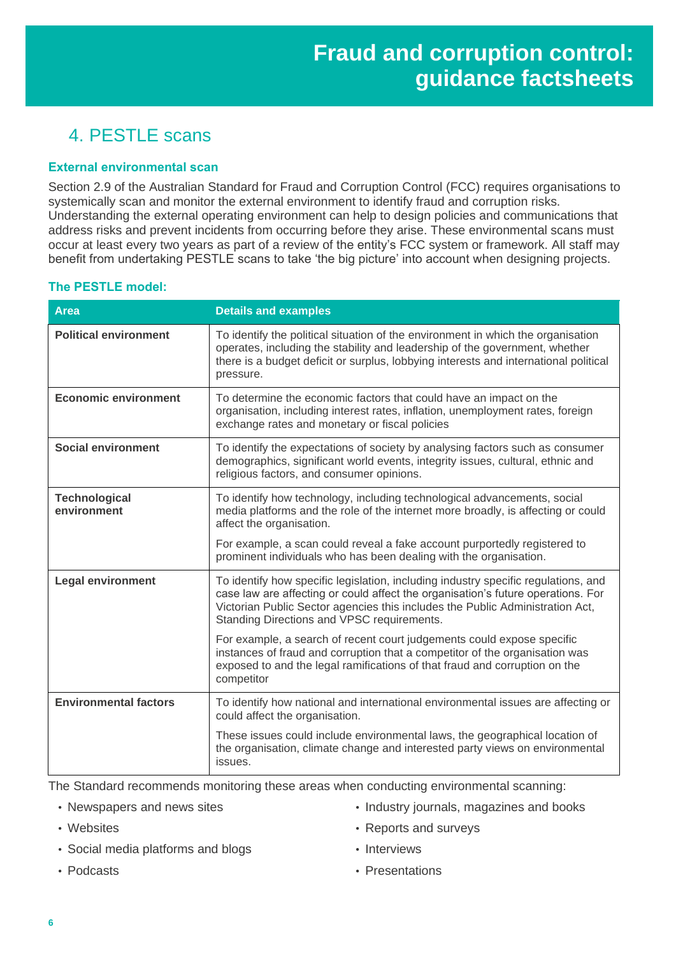# 4. PESTLE scans

#### **External environmental scan**

Section 2.9 of the Australian Standard for Fraud and Corruption Control (FCC) requires organisations to systemically scan and monitor the external environment to identify fraud and corruption risks. Understanding the external operating environment can help to design policies and communications that address risks and prevent incidents from occurring before they arise. These environmental scans must occur at least every two years as part of a review of the entity's FCC system or framework. All staff may benefit from undertaking PESTLE scans to take 'the big picture' into account when designing projects.

## **The PESTLE model:**

| <b>Area</b>                         | <b>Details and examples</b>                                                                                                                                                                                                                                                                           |
|-------------------------------------|-------------------------------------------------------------------------------------------------------------------------------------------------------------------------------------------------------------------------------------------------------------------------------------------------------|
| <b>Political environment</b>        | To identify the political situation of the environment in which the organisation<br>operates, including the stability and leadership of the government, whether<br>there is a budget deficit or surplus, lobbying interests and international political<br>pressure.                                  |
| <b>Economic environment</b>         | To determine the economic factors that could have an impact on the<br>organisation, including interest rates, inflation, unemployment rates, foreign<br>exchange rates and monetary or fiscal policies                                                                                                |
| <b>Social environment</b>           | To identify the expectations of society by analysing factors such as consumer<br>demographics, significant world events, integrity issues, cultural, ethnic and<br>religious factors, and consumer opinions.                                                                                          |
| <b>Technological</b><br>environment | To identify how technology, including technological advancements, social<br>media platforms and the role of the internet more broadly, is affecting or could<br>affect the organisation.                                                                                                              |
|                                     | For example, a scan could reveal a fake account purportedly registered to<br>prominent individuals who has been dealing with the organisation.                                                                                                                                                        |
| <b>Legal environment</b>            | To identify how specific legislation, including industry specific regulations, and<br>case law are affecting or could affect the organisation's future operations. For<br>Victorian Public Sector agencies this includes the Public Administration Act,<br>Standing Directions and VPSC requirements. |
|                                     | For example, a search of recent court judgements could expose specific<br>instances of fraud and corruption that a competitor of the organisation was<br>exposed to and the legal ramifications of that fraud and corruption on the<br>competitor                                                     |
| <b>Environmental factors</b>        | To identify how national and international environmental issues are affecting or<br>could affect the organisation.                                                                                                                                                                                    |
|                                     | These issues could include environmental laws, the geographical location of<br>the organisation, climate change and interested party views on environmental<br>issues.                                                                                                                                |

The Standard recommends monitoring these areas when conducting environmental scanning:

• Newspapers and news sites

• Social media platforms and blogs

• Websites

• Industry journals, magazines and books

• Reports and surveys • Interviews

• Podcasts

• Presentations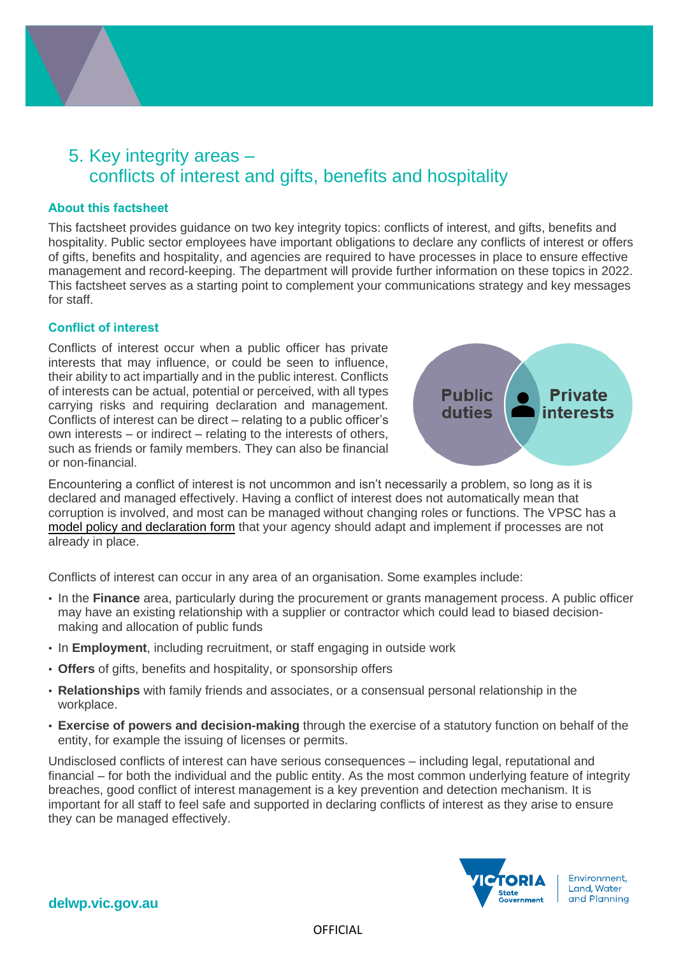

# 5. Key integrity areas – conflicts of interest and gifts, benefits and hospitality

#### **About this factsheet**

This factsheet provides guidance on two key integrity topics: conflicts of interest, and gifts, benefits and hospitality. Public sector employees have important obligations to declare any conflicts of interest or offers of gifts, benefits and hospitality, and agencies are required to have processes in place to ensure effective management and record-keeping. The department will provide further information on these topics in 2022. This factsheet serves as a starting point to complement your communications strategy and key messages for staff.

#### **Conflict of interest**

Conflicts of interest occur when a public officer has private interests that may influence, or could be seen to influence, their ability to act impartially and in the public interest. Conflicts of interests can be actual, potential or perceived, with all types carrying risks and requiring declaration and management. Conflicts of interest can be direct – relating to a public officer's own interests – or indirect – relating to the interests of others, such as friends or family members. They can also be financial or non-financial.



Encountering a conflict of interest is not uncommon and isn't necessarily a problem, so long as it is declared and managed effectively. Having a conflict of interest does not automatically mean that corruption is involved, and most can be managed without changing roles or functions. The VPSC has a [model policy and declaration form](https://vpsc.vic.gov.au/resources/conflict-of-interest-guidance-for-organisations/) that your agency should adapt and implement if processes are not already in place.

Conflicts of interest can occur in any area of an organisation. Some examples include:

- In the **Finance** area, particularly during the procurement or grants management process. A public officer may have an existing relationship with a supplier or contractor which could lead to biased decisionmaking and allocation of public funds
- In **Employment**, including recruitment, or staff engaging in outside work
- **Offers** of gifts, benefits and hospitality, or sponsorship offers
- **Relationships** with family friends and associates, or a consensual personal relationship in the workplace.
- **Exercise of powers and decision-making** through the exercise of a statutory function on behalf of the entity, for example the issuing of licenses or permits.

Undisclosed conflicts of interest can have serious consequences – including legal, reputational and financial – for both the individual and the public entity. As the most common underlying feature of integrity breaches, good conflict of interest management is a key prevention and detection mechanism. It is important for all staff to feel safe and supported in declaring conflicts of interest as they arise to ensure they can be managed effectively.